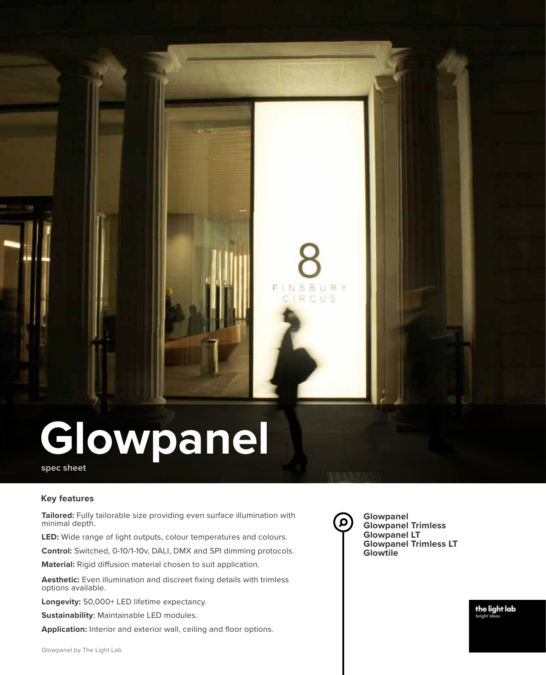# **Glowpanel**

 **spec sheet**

#### **Key features**

**Tailored:** Fully tailorable size providing even surface illumination with minimal depth.

**LED:** Wide range of light outputs, colour temperatures and colours.

**Control:** Switched, 0-10/1-10v, DALI, DMX and SPI dimming protocols.

**Material:** Rigid diffusion material chosen to suit application.

**Aesthetic:** Even illumination and discreet fixing details with trimless options available.

**Longevity:** 50,000+ LED lifetime expectancy.

**Sustainability:** Maintainable LED modules.

**Application:** Interior and exterior wall, ceiling and floor options.

**Glowpanel Glowpanel Trimless Glowpanel LT Glowpanel Trimless LT Glowtile**

SBUR  $\mathbb{C}$ Ù S

the light lab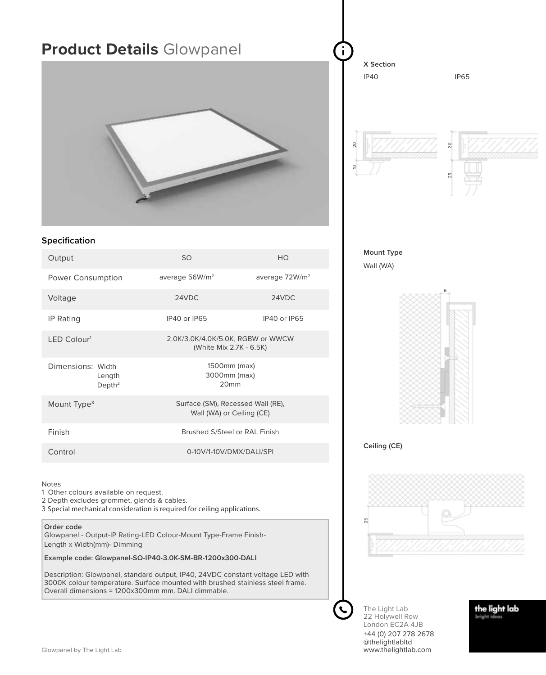## **Product Details** Glowpanel



#### **Specification**

| Output                   |                              | <b>SO</b>                                                      | HO                         |  |
|--------------------------|------------------------------|----------------------------------------------------------------|----------------------------|--|
| <b>Power Consumption</b> |                              | average 56W/m <sup>2</sup>                                     | average 72W/m <sup>2</sup> |  |
| Voltage                  |                              | 24VDC                                                          | 24VDC                      |  |
| IP Rating                |                              | IP40 or IP65                                                   | IP40 or IP65               |  |
| LED Colour <sup>1</sup>  |                              | 2.0K/3.0K/4.0K/5.0K, RGBW or WWCW<br>(White Mix 2.7K - 6.5K)   |                            |  |
| Dimensions: Width        | Length<br>Depth <sup>2</sup> | 1500mm (max)<br>3000mm (max)<br>20 <sub>mm</sub>               |                            |  |
| Mount Type <sup>3</sup>  |                              | Surface (SM), Recessed Wall (RE),<br>Wall (WA) or Ceiling (CE) |                            |  |
| Finish                   |                              | Brushed S/Steel or RAL Finish                                  |                            |  |
| Control                  |                              | 0-10V/1-10V/DMX/DALI/SPI                                       |                            |  |

#### Notes

- 1 Other colours available on request.
- 2 Depth excludes grommet, glands & cables.
- 3 Special mechanical consideration is required for ceiling applications.

#### **Order code**

Glowpanel - Output-IP Rating-LED Colour-Mount Type-Frame Finish-Length x Width(mm)- Dimming

**Example code: Glowpanel-SO-IP40-3.0K-SM-BR-1200x300-DALI**

Description: Glowpanel, standard output, IP40, 24VDC constant voltage LED with 3000K colour temperature. Surface mounted with brushed stainless steel frame. Overall dimensions = 1200x300mm mm. DALI dimmable.



+44 (0) 207 278 2678 @thelightlabltd www.thelightlab.com The Light Lab 22 Holywell Row London EC2A 4JB

the light lab bright is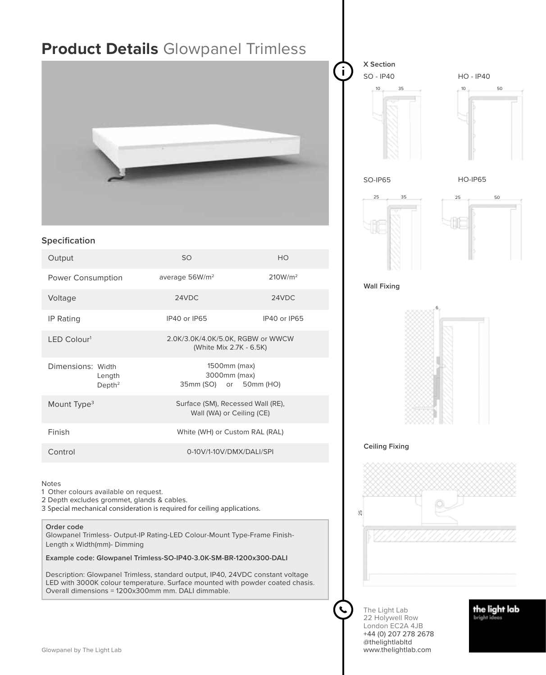## **Product Details** Glowpanel Trimless



#### **Specification**

| Output                                                                                    |                              | SO                                                           |                                                        | HO                  |
|-------------------------------------------------------------------------------------------|------------------------------|--------------------------------------------------------------|--------------------------------------------------------|---------------------|
| <b>Power Consumption</b>                                                                  |                              | average 56W/m <sup>2</sup>                                   |                                                        | 210W/m <sup>2</sup> |
| Voltage                                                                                   |                              | 24VDC                                                        |                                                        | 24VDC               |
| IP Rating                                                                                 |                              | IP40 or IP65                                                 |                                                        | IP40 or IP65        |
| LED Colour <sup>1</sup>                                                                   |                              | 2.0K/3.0K/4.0K/5.0K, RGBW or WWCW<br>(White Mix 2.7K - 6.5K) |                                                        |                     |
| Dimensions: Width                                                                         | Length<br>Depth <sup>2</sup> |                                                              | 1500mm (max)<br>3000mm (max)<br>35mm (SO) or 50mm (HO) |                     |
| Mount Type <sup>3</sup><br>Surface (SM), Recessed Wall (RE),<br>Wall (WA) or Ceiling (CE) |                              |                                                              |                                                        |                     |
| Finish                                                                                    |                              |                                                              | White (WH) or Custom RAL (RAL)                         |                     |
| Control                                                                                   |                              |                                                              | 0-10V/1-10V/DMX/DALI/SPI                               |                     |

Notes

1 Other colours available on request.

2 Depth excludes grommet, glands & cables.

3 Special mechanical consideration is required for ceiling applications.

#### **Order code**

Glowpanel Trimless- Output-IP Rating-LED Colour-Mount Type-Frame Finish-Length x Width(mm)- Dimming

**Example code: Glowpanel Trimless-SO-IP40-3.0K-SM-BR-1200x300-DALI**

Description: Glowpanel Trimless, standard output, IP40, 24VDC constant voltage LED with 3000K colour temperature. Surface mounted with powder coated chasis. Overall dimensions = 1200x300mm mm. DALI dimmable.



Î.

HO - IP40

HO-IP65



**Wall Fixing**



#### **Ceiling Fixing**



The Light Lab 22 Holywell Row London EC2A 4JB +44 (0) 207 278 2678 @thelightlabltd www.thelightlab.com

the light lab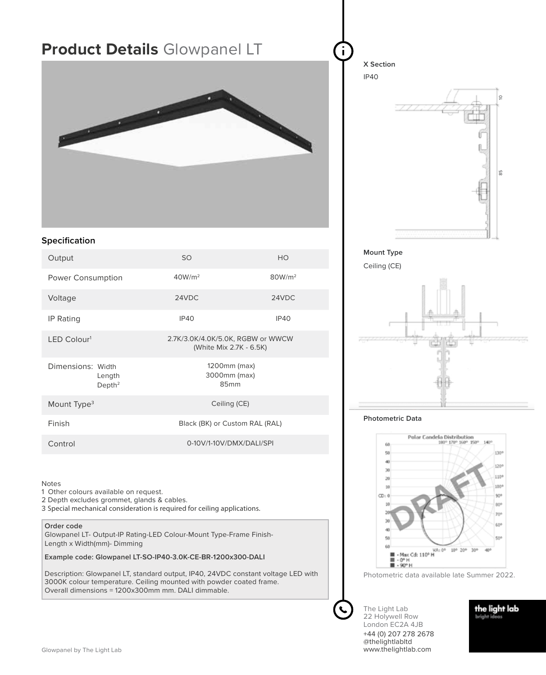# **Product Details** Glowpanel LT



#### **Specification**

| Output                   |                              | <b>SO</b>                                                    |                                                  | HO                 |
|--------------------------|------------------------------|--------------------------------------------------------------|--------------------------------------------------|--------------------|
| <b>Power Consumption</b> |                              | 40W/m <sup>2</sup>                                           |                                                  | 80W/m <sup>2</sup> |
| Voltage                  |                              | 24VDC                                                        |                                                  | 24VDC              |
| IP Rating                |                              | IP40                                                         |                                                  | IP40               |
| LED Colour <sup>1</sup>  |                              | 2.7K/3.0K/4.0K/5.0K, RGBW or WWCW<br>(White Mix 2.7K - 6.5K) |                                                  |                    |
| Dimensions: Width        | Length<br>Depth <sup>2</sup> |                                                              | 1200mm (max)<br>3000mm (max)<br>85 <sub>mm</sub> |                    |
| Mount Type <sup>3</sup>  |                              |                                                              | Ceiling (CE)                                     |                    |
| Finish                   |                              |                                                              | Black (BK) or Custom RAL (RAL)                   |                    |
| Control                  |                              |                                                              | 0-10V/1-10V/DMX/DALI/SPI                         |                    |

Notes

1 Other colours available on request.

2 Depth excludes grommet, glands & cables.

3 Special mechanical consideration is required for ceiling applications.

**Order code** 

Glowpanel LT- Output-IP Rating-LED Colour-Mount Type-Frame Finish-Length x Width(mm)- Dimming

**Example code: Glowpanel LT-SO-IP40-3.0K-CE-BR-1200x300-DALI**

Description: Glowpanel LT, standard output, IP40, 24VDC constant voltage LED with 3000K colour temperature. Ceiling mounted with powder coated frame. Overall dimensions = 1200x300mm mm. DALI dimmable.

**X Section** IP40



**Mount Type**

Ceiling (CE)



#### **Photometric Data**



+44 (0) 207 278 2678 @thelightlabltd www.thelightlab.com The Light Lab 22 Holywell Row London EC2A 4JB

the light lab bright is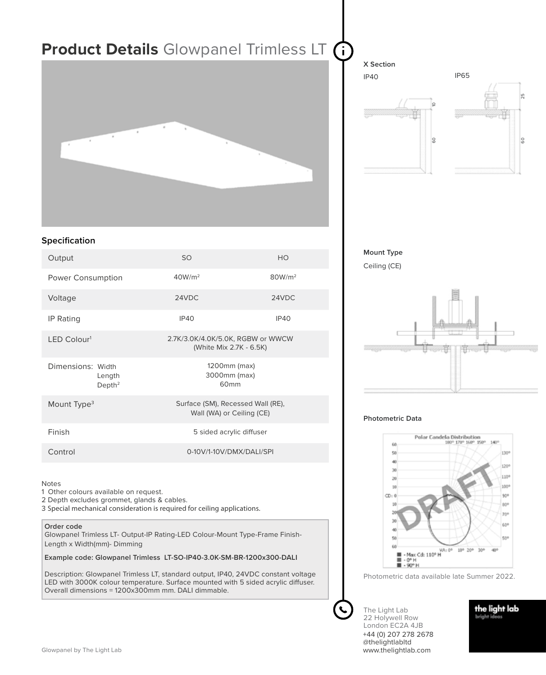#### **Product Details** Glowpanel Trimless LT  $(i)$





60 25

60

#### **Specification**

| Output                   |                              | <b>SO</b>                                                      | HO                 |
|--------------------------|------------------------------|----------------------------------------------------------------|--------------------|
| <b>Power Consumption</b> |                              | 40W/m <sup>2</sup>                                             | 80W/m <sup>2</sup> |
| Voltage                  |                              | 24VDC                                                          | 24VDC              |
| IP Rating                |                              | <b>IP40</b>                                                    | <b>IP40</b>        |
| LED Colour <sup>1</sup>  |                              | 2.7K/3.0K/4.0K/5.0K, RGBW or WWCW<br>(White Mix 2.7K - 6.5K)   |                    |
| Dimensions: Width        | Length<br>Depth <sup>2</sup> | 1200mm (max)<br>3000mm (max)<br>60 <sub>mm</sub>               |                    |
| Mount Type <sup>3</sup>  |                              | Surface (SM), Recessed Wall (RE),<br>Wall (WA) or Ceiling (CE) |                    |
| Finish                   |                              | 5 sided acrylic diffuser                                       |                    |
| Control                  |                              | 0-10V/1-10V/DMX/DALI/SPI                                       |                    |

Notes

1 Other colours available on request.

2 Depth excludes grommet, glands & cables.

3 Special mechanical consideration is required for ceiling applications.

#### **Order code**

Glowpanel Trimless LT- Output-IP Rating-LED Colour-Mount Type-Frame Finish-Length x Width(mm)- Dimming

**Example code: Glowpanel Trimless LT-SO-IP40-3.0K-SM-BR-1200x300-DALI**

Description: Glowpanel Trimless LT, standard output, IP40, 24VDC constant voltage LED with 3000K colour temperature. Surface mounted with 5 sided acrylic diffuser. Overall dimensions = 1200x300mm mm. DALI dimmable.

## **Mount Type**

Ceiling (CE)



#### **Photometric Data**





+44 (0) 207 278 2678 @thelightlabltd www.thelightlab.com The Light Lab 22 Holywell Row London EC2A 4JB

the light lab bright is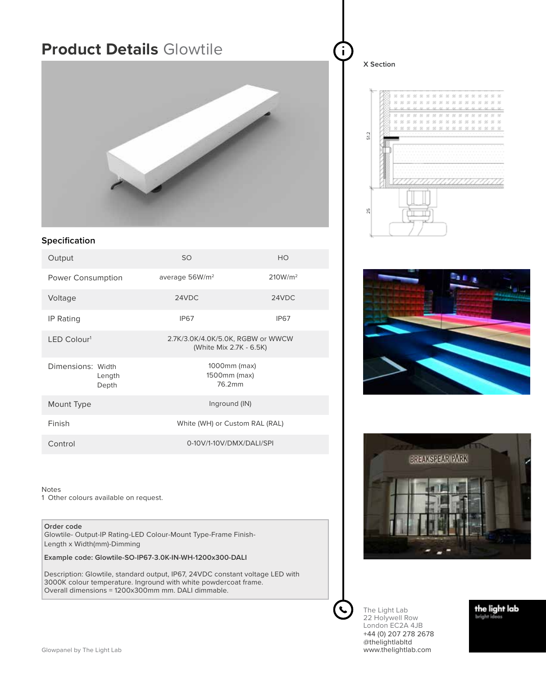## **Product Details** Glowtile



#### **Specification**

| Output                   |                 | <b>SO</b>                                                    |                                             | HO                  |
|--------------------------|-----------------|--------------------------------------------------------------|---------------------------------------------|---------------------|
| <b>Power Consumption</b> |                 | average 56W/m <sup>2</sup>                                   |                                             | 210W/m <sup>2</sup> |
| Voltage                  |                 | 24VDC                                                        |                                             | 24VDC               |
| IP Rating                |                 | <b>IP67</b>                                                  |                                             | <b>IP67</b>         |
| LED Colour <sup>1</sup>  |                 | 2.7K/3.0K/4.0K/5.0K, RGBW or WWCW<br>(White Mix 2.7K - 6.5K) |                                             |                     |
| Dimensions: Width        | Length<br>Depth |                                                              | $1000$ mm $(max)$<br>1500mm (max)<br>76.2mm |                     |
| Mount Type               |                 |                                                              | Inground (IN)                               |                     |
| Finish                   |                 |                                                              | White (WH) or Custom RAL (RAL)              |                     |
| Control                  |                 |                                                              | 0-10V/1-10V/DMX/DALI/SPI                    |                     |

Notes 1 Other colours available on request.

**Order code** 

Glowtile- Output-IP Rating-LED Colour-Mount Type-Frame Finish-Length x Width(mm)-Dimming

**Example code: Glowtile-SO-IP67-3.0K-IN-WH-1200x300-DALI**

Description: Glowtile, standard output, IP67, 24VDC constant voltage LED with 3000K colour temperature. Inground with white powdercoat frame. Overall dimensions = 1200x300mm mm. DALI dimmable.

**X Section**







+44 (0) 207 278 2678 @thelightlabltd www.thelightlab.com The Light Lab 22 Holywell Row London EC2A 4JB

the light lab bright id